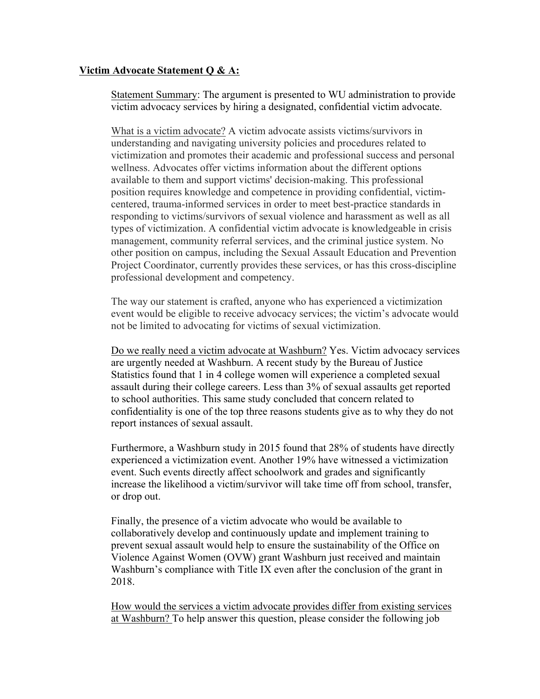## **Victim Advocate Statement Q & A:**

Statement Summary: The argument is presented to WU administration to provide victim advocacy services by hiring a designated, confidential victim advocate.

What is a victim advocate? A victim advocate assists victims/survivors in understanding and navigating university policies and procedures related to victimization and promotes their academic and professional success and personal wellness. Advocates offer victims information about the different options available to them and support victims' decision-making. This professional position requires knowledge and competence in providing confidential, victimcentered, trauma-informed services in order to meet best-practice standards in responding to victims/survivors of sexual violence and harassment as well as all types of victimization. A confidential victim advocate is knowledgeable in crisis management, community referral services, and the criminal justice system. No other position on campus, including the Sexual Assault Education and Prevention Project Coordinator, currently provides these services, or has this cross-discipline professional development and competency.

The way our statement is crafted, anyone who has experienced a victimization event would be eligible to receive advocacy services; the victim's advocate would not be limited to advocating for victims of sexual victimization.

Do we really need a victim advocate at Washburn? Yes. Victim advocacy services are urgently needed at Washburn. A recent study by the Bureau of Justice Statistics found that 1 in 4 college women will experience a completed sexual assault during their college careers. Less than 3% of sexual assaults get reported to school authorities. This same study concluded that concern related to confidentiality is one of the top three reasons students give as to why they do not report instances of sexual assault.

Furthermore, a Washburn study in 2015 found that 28% of students have directly experienced a victimization event. Another 19% have witnessed a victimization event. Such events directly affect schoolwork and grades and significantly increase the likelihood a victim/survivor will take time off from school, transfer, or drop out.

Finally, the presence of a victim advocate who would be available to collaboratively develop and continuously update and implement training to prevent sexual assault would help to ensure the sustainability of the Office on Violence Against Women (OVW) grant Washburn just received and maintain Washburn's compliance with Title IX even after the conclusion of the grant in 2018.

How would the services a victim advocate provides differ from existing services at Washburn? To help answer this question, please consider the following job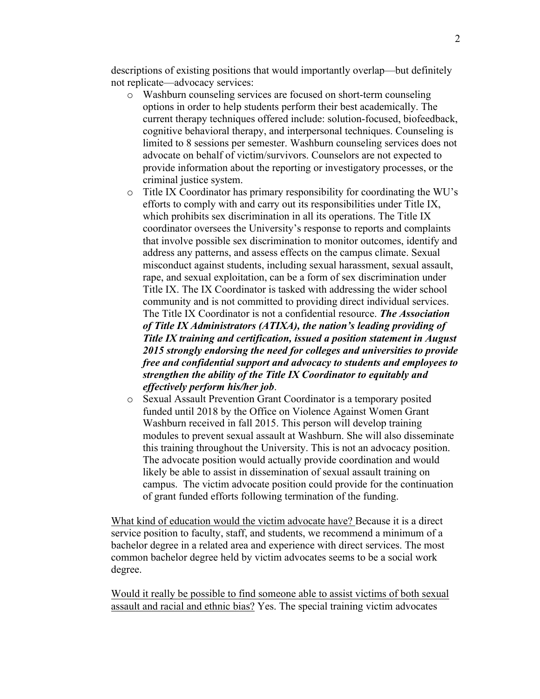descriptions of existing positions that would importantly overlap—but definitely not replicate—advocacy services:

- o Washburn counseling services are focused on short-term counseling options in order to help students perform their best academically. The current therapy techniques offered include: solution-focused, biofeedback, cognitive behavioral therapy, and interpersonal techniques. Counseling is limited to 8 sessions per semester. Washburn counseling services does not advocate on behalf of victim/survivors. Counselors are not expected to provide information about the reporting or investigatory processes, or the criminal justice system.
- o Title IX Coordinator has primary responsibility for coordinating the WU's efforts to comply with and carry out its responsibilities under Title IX, which prohibits sex discrimination in all its operations. The Title IX coordinator oversees the University's response to reports and complaints that involve possible sex discrimination to monitor outcomes, identify and address any patterns, and assess effects on the campus climate. Sexual misconduct against students, including sexual harassment, sexual assault, rape, and sexual exploitation, can be a form of sex discrimination under Title IX. The IX Coordinator is tasked with addressing the wider school community and is not committed to providing direct individual services. The Title IX Coordinator is not a confidential resource. *The Association of Title IX Administrators (ATIXA), the nation's leading providing of Title IX training and certification, issued a position statement in August 2015 strongly endorsing the need for colleges and universities to provide free and confidential support and advocacy to students and employees to strengthen the ability of the Title IX Coordinator to equitably and effectively perform his/her job*.
- o Sexual Assault Prevention Grant Coordinator is a temporary posited funded until 2018 by the Office on Violence Against Women Grant Washburn received in fall 2015. This person will develop training modules to prevent sexual assault at Washburn. She will also disseminate this training throughout the University. This is not an advocacy position. The advocate position would actually provide coordination and would likely be able to assist in dissemination of sexual assault training on campus. The victim advocate position could provide for the continuation of grant funded efforts following termination of the funding.

What kind of education would the victim advocate have? Because it is a direct service position to faculty, staff, and students, we recommend a minimum of a bachelor degree in a related area and experience with direct services. The most common bachelor degree held by victim advocates seems to be a social work degree.

Would it really be possible to find someone able to assist victims of both sexual assault and racial and ethnic bias? Yes. The special training victim advocates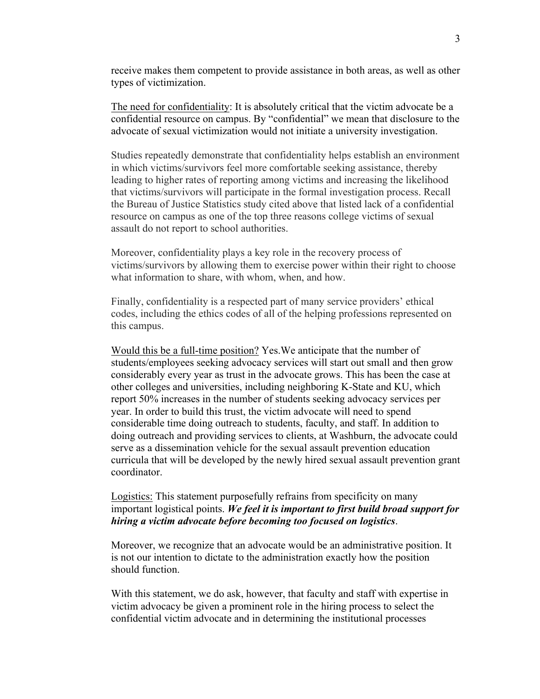receive makes them competent to provide assistance in both areas, as well as other types of victimization.

The need for confidentiality: It is absolutely critical that the victim advocate be a confidential resource on campus. By "confidential" we mean that disclosure to the advocate of sexual victimization would not initiate a university investigation.

Studies repeatedly demonstrate that confidentiality helps establish an environment in which victims/survivors feel more comfortable seeking assistance, thereby leading to higher rates of reporting among victims and increasing the likelihood that victims/survivors will participate in the formal investigation process. Recall the Bureau of Justice Statistics study cited above that listed lack of a confidential resource on campus as one of the top three reasons college victims of sexual assault do not report to school authorities.

Moreover, confidentiality plays a key role in the recovery process of victims/survivors by allowing them to exercise power within their right to choose what information to share, with whom, when, and how.

Finally, confidentiality is a respected part of many service providers' ethical codes, including the ethics codes of all of the helping professions represented on this campus.

Would this be a full-time position? Yes.We anticipate that the number of students/employees seeking advocacy services will start out small and then grow considerably every year as trust in the advocate grows. This has been the case at other colleges and universities, including neighboring K-State and KU, which report 50% increases in the number of students seeking advocacy services per year. In order to build this trust, the victim advocate will need to spend considerable time doing outreach to students, faculty, and staff. In addition to doing outreach and providing services to clients, at Washburn, the advocate could serve as a dissemination vehicle for the sexual assault prevention education curricula that will be developed by the newly hired sexual assault prevention grant coordinator.

## Logistics: This statement purposefully refrains from specificity on many important logistical points. *We feel it is important to first build broad support for hiring a victim advocate before becoming too focused on logistics*.

Moreover, we recognize that an advocate would be an administrative position. It is not our intention to dictate to the administration exactly how the position should function.

With this statement, we do ask, however, that faculty and staff with expertise in victim advocacy be given a prominent role in the hiring process to select the confidential victim advocate and in determining the institutional processes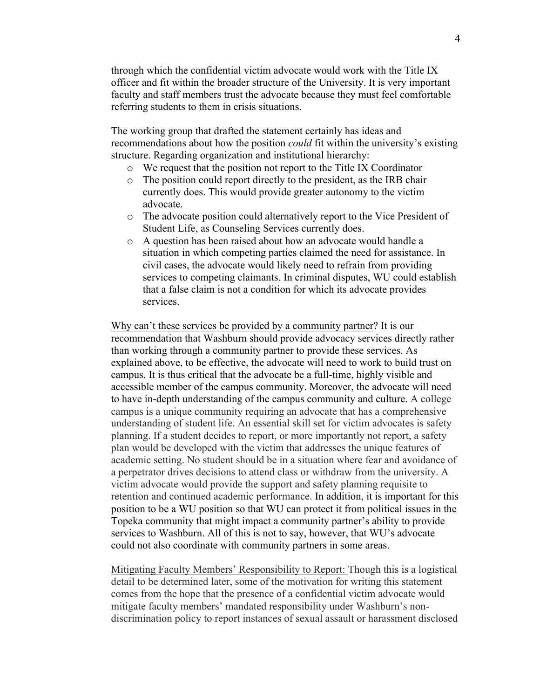through which the confidential victim advocate would work with the Title IX officer and fit within the broader structure of the University. It is very important faculty and staff members trust the advocate because they must feel comfortable referring students to them in crisis situations.

The working group that drafted the statement certainly has ideas and recommendations about how the position *could* fit within the university's existing structure. Regarding organization and institutional hierarchy:

- o We request that the position not report to the Title IX Coordinator
- o The position could report directly to the president, as the IRB chair currently does. This would provide greater autonomy to the victim advocate.
- o The advocate position could alternatively report to the Vice President of Student Life, as Counseling Services currently does.
- o A question has been raised about how an advocate would handle a situation in which competing parties claimed the need for assistance. In civil cases, the advocate would likely need to refrain from providing services to competing claimants. In criminal disputes, WU could establish that a false claim is not a condition for which its advocate provides services.

Why can't these services be provided by a community partner? It is our recommendation that Washburn should provide advocacy services directly rather than working through a community partner to provide these services. As explained above, to be effective, the advocate will need to work to build trust on campus. It is thus critical that the advocate be a full-time, highly visible and accessible member of the campus community. Moreover, the advocate will need to have in-depth understanding of the campus community and culture. A college campus is a unique community requiring an advocate that has a comprehensive understanding of student life. An essential skill set for victim advocates is safety planning. If a student decides to report, or more importantly not report, a safety plan would be developed with the victim that addresses the unique features of academic setting. No student should be in a situation where fear and avoidance of a perpetrator drives decisions to attend class or withdraw from the university. A victim advocate would provide the support and safety planning requisite to retention and continued academic performance. In addition, it is important for this position to be a WU position so that WU can protect it from political issues in the Topeka community that might impact a community partner's ability to provide services to Washburn. All of this is not to say, however, that WU's advocate could not also coordinate with community partners in some areas.

Mitigating Faculty Members' Responsibility to Report: Though this is a logistical detail to be determined later, some of the motivation for writing this statement comes from the hope that the presence of a confidential victim advocate would mitigate faculty members' mandated responsibility under Washburn's nondiscrimination policy to report instances of sexual assault or harassment disclosed